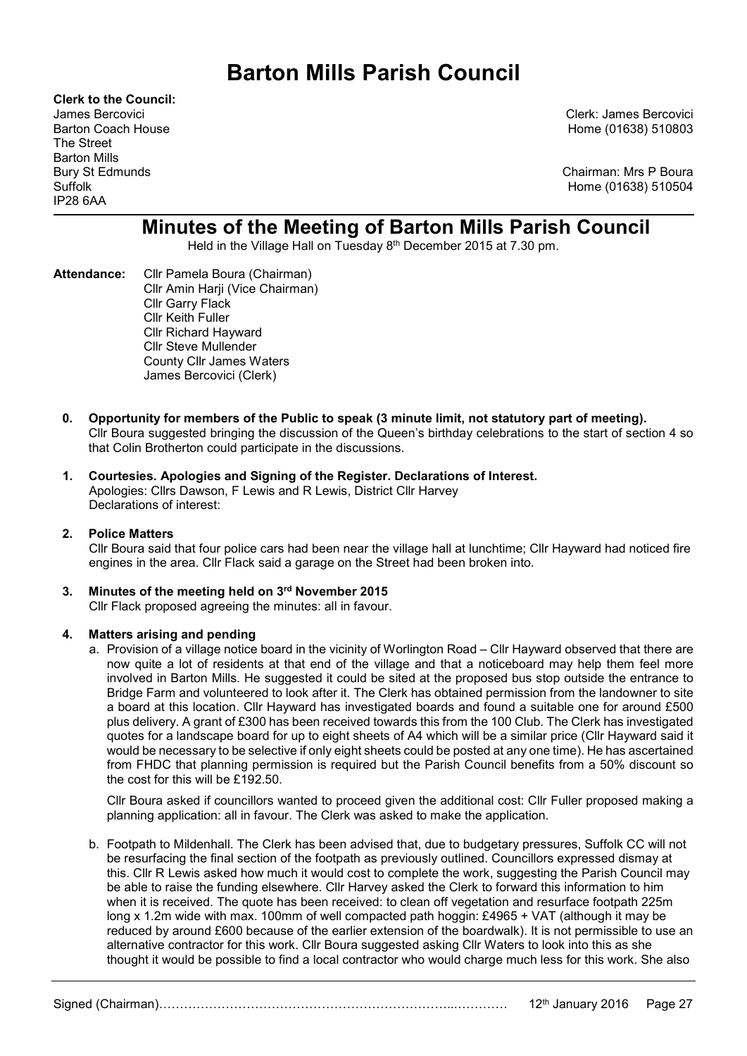# Barton Mills Parish Council

Clerk to the Council: The Street Barton Mills IP28 6AA

James Bercovici Clerk: James Bercovici Barton Coach House Home (01638) 510803

Bury St Edmunds **Chairman: Mrs P Boura** Suffolk Home (01638) 510504

# Minutes of the Meeting of Barton Mills Parish Council

Held in the Village Hall on Tuesday 8<sup>th</sup> December 2015 at 7.30 pm.

- Attendance: Cllr Pamela Boura (Chairman) Cllr Amin Harji (Vice Chairman) Cllr Garry Flack Cllr Keith Fuller Cllr Richard Hayward Cllr Steve Mullender County Cllr James Waters James Bercovici (Clerk)
	- 0. Opportunity for members of the Public to speak (3 minute limit, not statutory part of meeting). Cllr Boura suggested bringing the discussion of the Queen's birthday celebrations to the start of section 4 so that Colin Brotherton could participate in the discussions.
	- 1. Courtesies. Apologies and Signing of the Register. Declarations of Interest. Apologies: Cllrs Dawson, F Lewis and R Lewis, District Cllr Harvey Declarations of interest:

### 2. Police Matters

Cllr Boura said that four police cars had been near the village hall at lunchtime; Cllr Hayward had noticed fire engines in the area. Cllr Flack said a garage on the Street had been broken into.

## 3. Minutes of the meeting held on 3rd November 2015

Cllr Flack proposed agreeing the minutes: all in favour.

#### 4. Matters arising and pending

a. Provision of a village notice board in the vicinity of Worlington Road – Cllr Hayward observed that there are now quite a lot of residents at that end of the village and that a noticeboard may help them feel more involved in Barton Mills. He suggested it could be sited at the proposed bus stop outside the entrance to Bridge Farm and volunteered to look after it. The Clerk has obtained permission from the landowner to site a board at this location. Cllr Hayward has investigated boards and found a suitable one for around £500 plus delivery. A grant of £300 has been received towards this from the 100 Club. The Clerk has investigated quotes for a landscape board for up to eight sheets of A4 which will be a similar price (Cllr Hayward said it would be necessary to be selective if only eight sheets could be posted at any one time). He has ascertained from FHDC that planning permission is required but the Parish Council benefits from a 50% discount so the cost for this will be £192.50.

Cllr Boura asked if councillors wanted to proceed given the additional cost: Cllr Fuller proposed making a planning application: all in favour. The Clerk was asked to make the application.

b. Footpath to Mildenhall. The Clerk has been advised that, due to budgetary pressures, Suffolk CC will not be resurfacing the final section of the footpath as previously outlined. Councillors expressed dismay at this. Cllr R Lewis asked how much it would cost to complete the work, suggesting the Parish Council may be able to raise the funding elsewhere. Cllr Harvey asked the Clerk to forward this information to him when it is received. The quote has been received: to clean off vegetation and resurface footpath 225m long x 1.2m wide with max. 100mm of well compacted path hoggin: £4965 + VAT (although it may be reduced by around £600 because of the earlier extension of the boardwalk). It is not permissible to use an alternative contractor for this work. Cllr Boura suggested asking Cllr Waters to look into this as she thought it would be possible to find a local contractor who would charge much less for this work. She also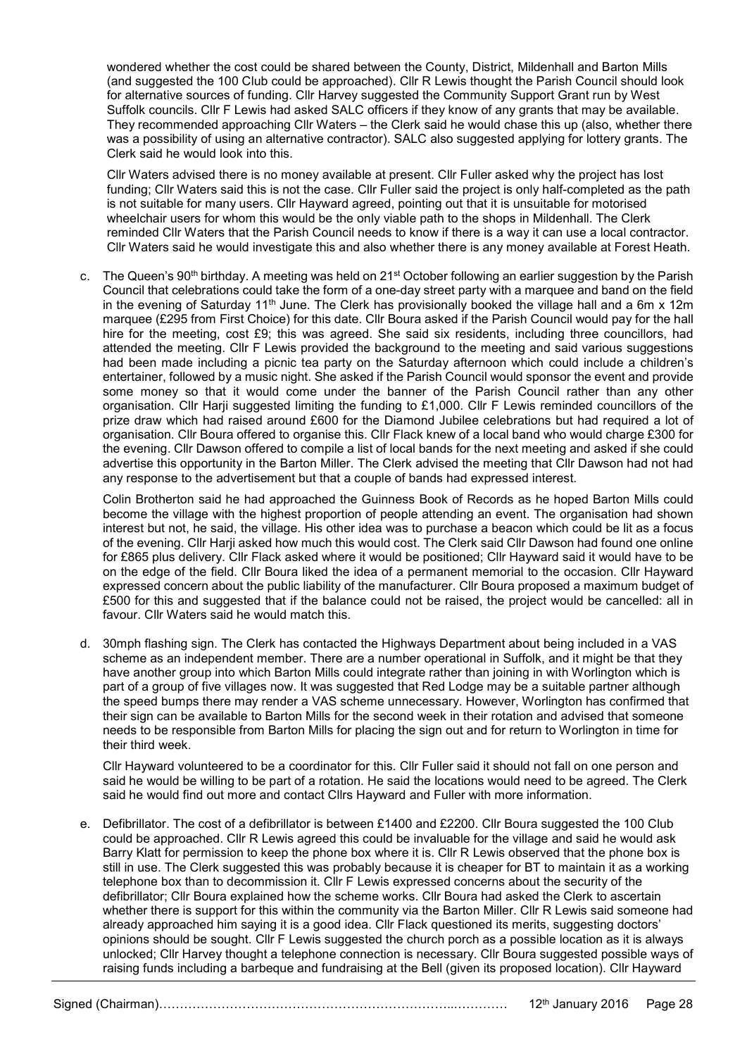wondered whether the cost could be shared between the County, District, Mildenhall and Barton Mills (and suggested the 100 Club could be approached). Cllr R Lewis thought the Parish Council should look for alternative sources of funding. Cllr Harvey suggested the Community Support Grant run by West Suffolk councils. Cllr F Lewis had asked SALC officers if they know of any grants that may be available. They recommended approaching Cllr Waters – the Clerk said he would chase this up (also, whether there was a possibility of using an alternative contractor). SALC also suggested applying for lottery grants. The Clerk said he would look into this.

Cllr Waters advised there is no money available at present. Cllr Fuller asked why the project has lost funding; Cllr Waters said this is not the case. Cllr Fuller said the project is only half-completed as the path is not suitable for many users. Cllr Hayward agreed, pointing out that it is unsuitable for motorised wheelchair users for whom this would be the only viable path to the shops in Mildenhall. The Clerk reminded Cllr Waters that the Parish Council needs to know if there is a way it can use a local contractor. Cllr Waters said he would investigate this and also whether there is any money available at Forest Heath.

c. The Queen's  $90<sup>th</sup>$  birthday. A meeting was held on 21<sup>st</sup> October following an earlier suggestion by the Parish Council that celebrations could take the form of a one-day street party with a marquee and band on the field in the evening of Saturday 11<sup>th</sup> June. The Clerk has provisionally booked the village hall and a 6m x 12m marquee (£295 from First Choice) for this date. Cllr Boura asked if the Parish Council would pay for the hall hire for the meeting, cost £9; this was agreed. She said six residents, including three councillors, had attended the meeting. Cllr F Lewis provided the background to the meeting and said various suggestions had been made including a picnic tea party on the Saturday afternoon which could include a children's entertainer, followed by a music night. She asked if the Parish Council would sponsor the event and provide some money so that it would come under the banner of the Parish Council rather than any other organisation. Cllr Harji suggested limiting the funding to £1,000. Cllr F Lewis reminded councillors of the prize draw which had raised around £600 for the Diamond Jubilee celebrations but had required a lot of organisation. Cllr Boura offered to organise this. Cllr Flack knew of a local band who would charge £300 for the evening. Cllr Dawson offered to compile a list of local bands for the next meeting and asked if she could advertise this opportunity in the Barton Miller. The Clerk advised the meeting that Cllr Dawson had not had any response to the advertisement but that a couple of bands had expressed interest.

Colin Brotherton said he had approached the Guinness Book of Records as he hoped Barton Mills could become the village with the highest proportion of people attending an event. The organisation had shown interest but not, he said, the village. His other idea was to purchase a beacon which could be lit as a focus of the evening. Cllr Harji asked how much this would cost. The Clerk said Cllr Dawson had found one online for £865 plus delivery. Cllr Flack asked where it would be positioned; Cllr Hayward said it would have to be on the edge of the field. Cllr Boura liked the idea of a permanent memorial to the occasion. Cllr Hayward expressed concern about the public liability of the manufacturer. Cllr Boura proposed a maximum budget of £500 for this and suggested that if the balance could not be raised, the project would be cancelled: all in favour. Cllr Waters said he would match this.

d. 30mph flashing sign. The Clerk has contacted the Highways Department about being included in a VAS scheme as an independent member. There are a number operational in Suffolk, and it might be that they have another group into which Barton Mills could integrate rather than joining in with Worlington which is part of a group of five villages now. It was suggested that Red Lodge may be a suitable partner although the speed bumps there may render a VAS scheme unnecessary. However, Worlington has confirmed that their sign can be available to Barton Mills for the second week in their rotation and advised that someone needs to be responsible from Barton Mills for placing the sign out and for return to Worlington in time for their third week.

Cllr Hayward volunteered to be a coordinator for this. Cllr Fuller said it should not fall on one person and said he would be willing to be part of a rotation. He said the locations would need to be agreed. The Clerk said he would find out more and contact Cllrs Hayward and Fuller with more information.

e. Defibrillator. The cost of a defibrillator is between £1400 and £2200. Cllr Boura suggested the 100 Club could be approached. Cllr R Lewis agreed this could be invaluable for the village and said he would ask Barry Klatt for permission to keep the phone box where it is. Cllr R Lewis observed that the phone box is still in use. The Clerk suggested this was probably because it is cheaper for BT to maintain it as a working telephone box than to decommission it. Cllr F Lewis expressed concerns about the security of the defibrillator; Cllr Boura explained how the scheme works. Cllr Boura had asked the Clerk to ascertain whether there is support for this within the community via the Barton Miller. Cllr R Lewis said someone had already approached him saying it is a good idea. Cllr Flack questioned its merits, suggesting doctors' opinions should be sought. Cllr F Lewis suggested the church porch as a possible location as it is always unlocked; Cllr Harvey thought a telephone connection is necessary. Cllr Boura suggested possible ways of raising funds including a barbeque and fundraising at the Bell (given its proposed location). Cllr Hayward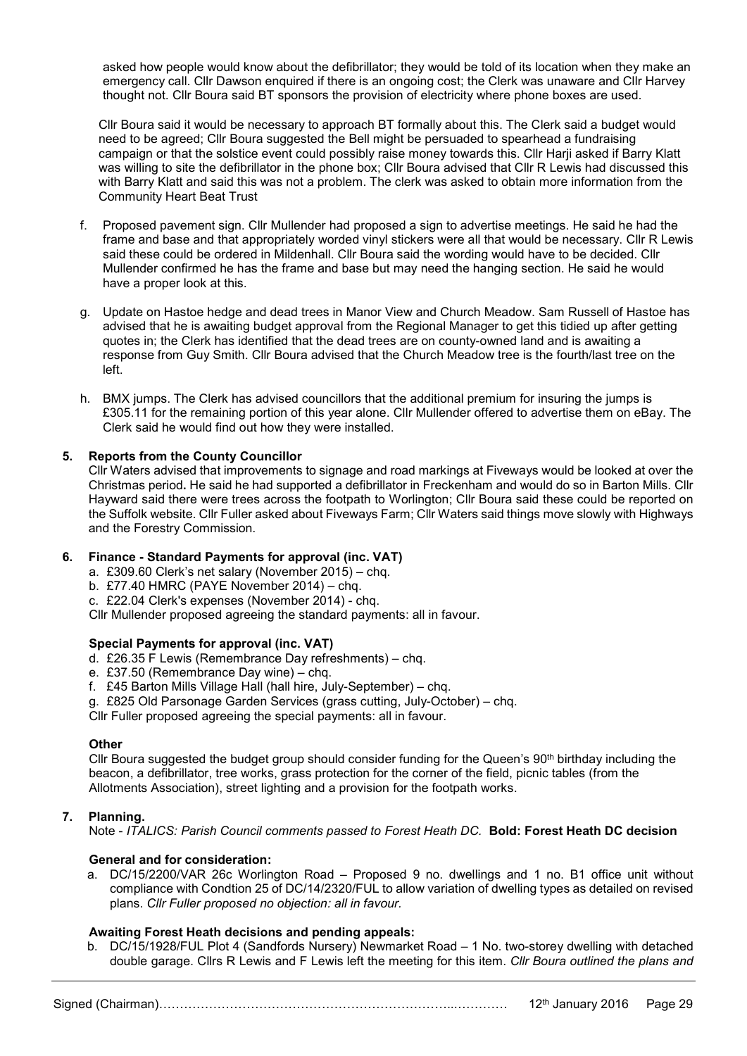asked how people would know about the defibrillator; they would be told of its location when they make an emergency call. Cllr Dawson enquired if there is an ongoing cost; the Clerk was unaware and Cllr Harvey thought not. Cllr Boura said BT sponsors the provision of electricity where phone boxes are used.

Cllr Boura said it would be necessary to approach BT formally about this. The Clerk said a budget would need to be agreed; Cllr Boura suggested the Bell might be persuaded to spearhead a fundraising campaign or that the solstice event could possibly raise money towards this. Cllr Harji asked if Barry Klatt was willing to site the defibrillator in the phone box; Cllr Boura advised that Cllr R Lewis had discussed this with Barry Klatt and said this was not a problem. The clerk was asked to obtain more information from the Community Heart Beat Trust

- f. Proposed pavement sign. Cllr Mullender had proposed a sign to advertise meetings. He said he had the frame and base and that appropriately worded vinyl stickers were all that would be necessary. Cllr R Lewis said these could be ordered in Mildenhall. Cllr Boura said the wording would have to be decided. Cllr Mullender confirmed he has the frame and base but may need the hanging section. He said he would have a proper look at this.
- g. Update on Hastoe hedge and dead trees in Manor View and Church Meadow. Sam Russell of Hastoe has advised that he is awaiting budget approval from the Regional Manager to get this tidied up after getting quotes in; the Clerk has identified that the dead trees are on county-owned land and is awaiting a response from Guy Smith. Cllr Boura advised that the Church Meadow tree is the fourth/last tree on the left.
- h. BMX jumps. The Clerk has advised councillors that the additional premium for insuring the jumps is £305.11 for the remaining portion of this year alone. Cllr Mullender offered to advertise them on eBay. The Clerk said he would find out how they were installed.

### 5. Reports from the County Councillor

Cllr Waters advised that improvements to signage and road markings at Fiveways would be looked at over the Christmas period. He said he had supported a defibrillator in Freckenham and would do so in Barton Mills. Cllr Hayward said there were trees across the footpath to Worlington; Cllr Boura said these could be reported on the Suffolk website. Cllr Fuller asked about Fiveways Farm; Cllr Waters said things move slowly with Highways and the Forestry Commission.

# 6. Finance - Standard Payments for approval (inc. VAT)

- a. £309.60 Clerk's net salary (November 2015) chq.
- b. £77.40 HMRC (PAYE November 2014) chq.

c. £22.04 Clerk's expenses (November 2014) - chq.

Cllr Mullender proposed agreeing the standard payments: all in favour.

### Special Payments for approval (inc. VAT)

- d. £26.35 F Lewis (Remembrance Day refreshments) chq.
- e. £37.50 (Remembrance Day wine) chq.
- f. £45 Barton Mills Village Hall (hall hire, July-September) chq.
- g. £825 Old Parsonage Garden Services (grass cutting, July-October) chq.

Cllr Fuller proposed agreeing the special payments: all in favour.

#### **Other**

Cllr Boura suggested the budget group should consider funding for the Queen's 90<sup>th</sup> birthday including the beacon, a defibrillator, tree works, grass protection for the corner of the field, picnic tables (from the Allotments Association), street lighting and a provision for the footpath works.

### 7. Planning.

Note - ITALICS: Parish Council comments passed to Forest Heath DC. Bold: Forest Heath DC decision

### General and for consideration:

a. DC/15/2200/VAR 26c Worlington Road – Proposed 9 no. dwellings and 1 no. B1 office unit without compliance with Condtion 25 of DC/14/2320/FUL to allow variation of dwelling types as detailed on revised plans. Cllr Fuller proposed no objection: all in favour.

### Awaiting Forest Heath decisions and pending appeals:

b. DC/15/1928/FUL Plot 4 (Sandfords Nursery) Newmarket Road – 1 No. two-storey dwelling with detached double garage. Cllrs R Lewis and F Lewis left the meeting for this item. Cllr Boura outlined the plans and